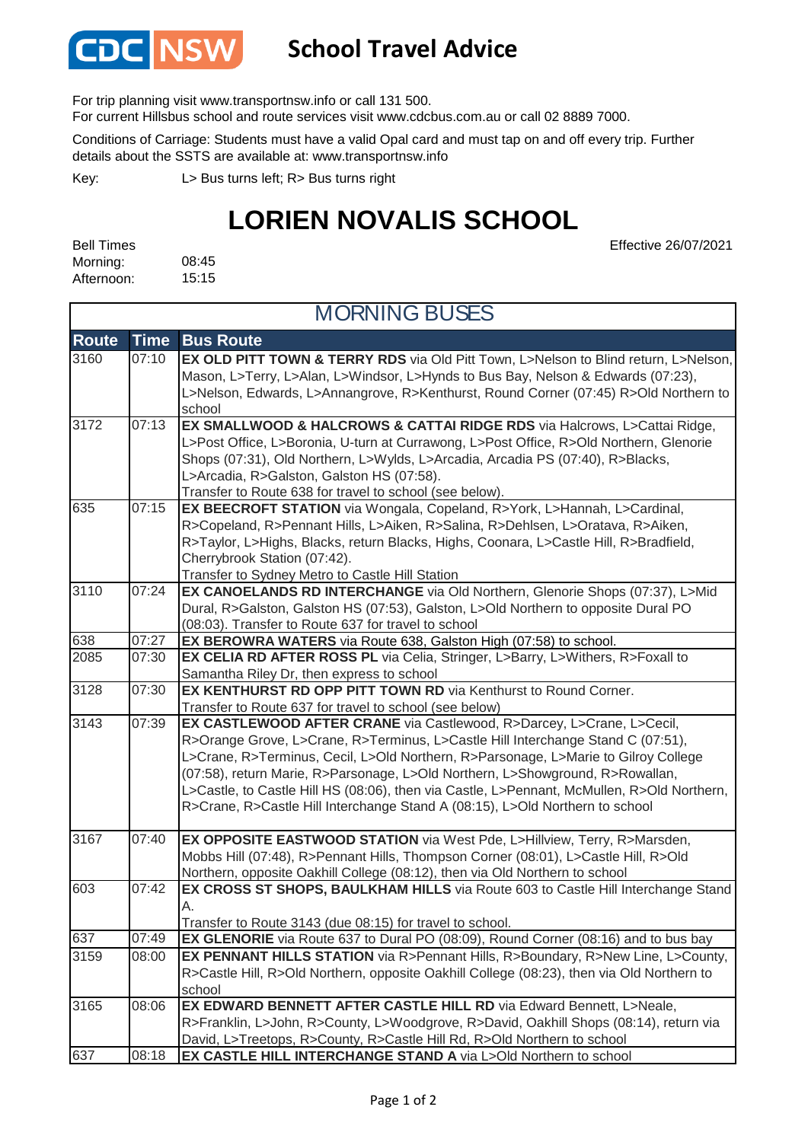

## **School Travel Advice**

For trip planning visit www.transportnsw.info or call 131 500.

For current Hillsbus school and route services visit www.cdcbus.com.au or call 02 8889 7000.

Conditions of Carriage: Students must have a valid Opal card and must tap on and off every trip. Further details about the SSTS are available at: www.transportnsw.info

L> Bus turns left; R> Bus turns right Key:

## **LORIEN NOVALIS SCHOOL**

Effective 26/07/2021

| Bell Times |       |
|------------|-------|
| Morning:   | 08:45 |
| Afternoon: | 15:15 |

| <b>MORNING BUSES</b> |             |                                                                                                                                                                                                                                                                                                                                                                                                                                                                                                               |
|----------------------|-------------|---------------------------------------------------------------------------------------------------------------------------------------------------------------------------------------------------------------------------------------------------------------------------------------------------------------------------------------------------------------------------------------------------------------------------------------------------------------------------------------------------------------|
| <b>Route</b>         | <b>Time</b> | <b>Bus Route</b>                                                                                                                                                                                                                                                                                                                                                                                                                                                                                              |
| 3160                 | 07:10       | <b>EX OLD PITT TOWN &amp; TERRY RDS</b> via Old Pitt Town, L>Nelson to Blind return, L>Nelson,<br>Mason, L>Terry, L>Alan, L>Windsor, L>Hynds to Bus Bay, Nelson & Edwards (07:23),<br>L>Nelson, Edwards, L>Annangrove, R>Kenthurst, Round Corner (07:45) R>Old Northern to<br>school                                                                                                                                                                                                                          |
| 3172                 | 07:13       | <b>EX SMALLWOOD &amp; HALCROWS &amp; CATTAI RIDGE RDS</b> via Halcrows, L>Cattai Ridge,<br>L>Post Office, L>Boronia, U-turn at Currawong, L>Post Office, R>Old Northern, Glenorie<br>Shops (07:31), Old Northern, L>Wylds, L>Arcadia, Arcadia PS (07:40), R>Blacks,<br>L>Arcadia, R>Galston, Galston HS (07:58).<br>Transfer to Route 638 for travel to school (see below).                                                                                                                                   |
| 635                  | 07:15       | EX BEECROFT STATION via Wongala, Copeland, R>York, L>Hannah, L>Cardinal,<br>R>Copeland, R>Pennant Hills, L>Aiken, R>Salina, R>Dehlsen, L>Oratava, R>Aiken,<br>R>Taylor, L>Highs, Blacks, return Blacks, Highs, Coonara, L>Castle Hill, R>Bradfield,<br>Cherrybrook Station (07:42).<br>Transfer to Sydney Metro to Castle Hill Station                                                                                                                                                                        |
| 3110                 | 07:24       | EX CANOELANDS RD INTERCHANGE via Old Northern, Glenorie Shops (07:37), L>Mid<br>Dural, R>Galston, Galston HS (07:53), Galston, L>Old Northern to opposite Dural PO<br>(08:03). Transfer to Route 637 for travel to school                                                                                                                                                                                                                                                                                     |
| 638                  | 07:27       | EX BEROWRA WATERS via Route 638, Galston High (07:58) to school.                                                                                                                                                                                                                                                                                                                                                                                                                                              |
| 2085                 | 07:30       | EX CELIA RD AFTER ROSS PL via Celia, Stringer, L>Barry, L>Withers, R>Foxall to<br>Samantha Riley Dr, then express to school                                                                                                                                                                                                                                                                                                                                                                                   |
| 3128                 | 07:30       | <b>EX KENTHURST RD OPP PITT TOWN RD</b> via Kenthurst to Round Corner.<br>Transfer to Route 637 for travel to school (see below)                                                                                                                                                                                                                                                                                                                                                                              |
| 3143                 | 07:39       | EX CASTLEWOOD AFTER CRANE via Castlewood, R>Darcey, L>Crane, L>Cecil,<br>R>Orange Grove, L>Crane, R>Terminus, L>Castle Hill Interchange Stand C (07:51),<br>L>Crane, R>Terminus, Cecil, L>Old Northern, R>Parsonage, L>Marie to Gilroy College<br>(07:58), return Marie, R>Parsonage, L>Old Northern, L>Showground, R>Rowallan,<br>L>Castle, to Castle Hill HS (08:06), then via Castle, L>Pennant, McMullen, R>Old Northern,<br>R>Crane, R>Castle Hill Interchange Stand A (08:15), L>Old Northern to school |
| 3167                 | 07:40       | EX OPPOSITE EASTWOOD STATION via West Pde, L>Hillview, Terry, R>Marsden,<br>Mobbs Hill (07:48), R>Pennant Hills, Thompson Corner (08:01), L>Castle Hill, R>Old<br>Northern, opposite Oakhill College (08:12), then via Old Northern to school                                                                                                                                                                                                                                                                 |
| 603                  | 07:42       | EX CROSS ST SHOPS, BAULKHAM HILLS via Route 603 to Castle Hill Interchange Stand<br>Transfer to Route 3143 (due 08:15) for travel to school.                                                                                                                                                                                                                                                                                                                                                                  |
| 637                  | 07:49       | EX GLENORIE via Route 637 to Dural PO (08:09), Round Corner (08:16) and to bus bay                                                                                                                                                                                                                                                                                                                                                                                                                            |
| 3159                 | 08:00       | EX PENNANT HILLS STATION via R>Pennant Hills, R>Boundary, R>New Line, L>County,<br>R>Castle Hill, R>Old Northern, opposite Oakhill College (08:23), then via Old Northern to<br>school                                                                                                                                                                                                                                                                                                                        |
| 3165                 | 08:06       | EX EDWARD BENNETT AFTER CASTLE HILL RD via Edward Bennett, L>Neale,<br>R>Franklin, L>John, R>County, L>Woodgrove, R>David, Oakhill Shops (08:14), return via<br>David, L>Treetops, R>County, R>Castle Hill Rd, R>Old Northern to school                                                                                                                                                                                                                                                                       |
| 637                  | 08:18       | EX CASTLE HILL INTERCHANGE STAND A via L>Old Northern to school                                                                                                                                                                                                                                                                                                                                                                                                                                               |